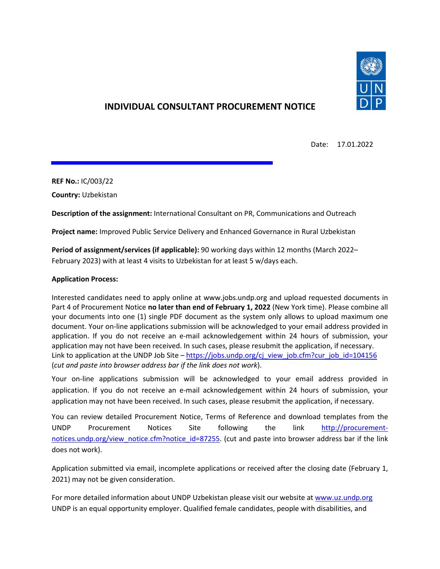

# **INDIVIDUAL CONSULTANT PROCUREMENT NOTICE**

Date: 17.01.2022

**REF No.:** IC/003/22

**Country:** Uzbekistan

**Description of the assignment:** International Consultant on PR, Communications and Outreach

**Project name:** Improved Public Service Delivery and Enhanced Governance in Rural Uzbekistan

**Period of assignment/services (if applicable):** 90 working days within 12 months (March 2022– February 2023) with at least 4 visits to Uzbekistan for at least 5 w/days each.

### **Application Process:**

Interested candidates need to apply online at www.jobs.undp.org and upload requested documents in Part 4 of Procurement Notice **no later than end of February 1, 2022** (New York time). Please combine all your documents into one (1) single PDF document as the system only allows to upload maximum one document. Your on-line applications submission will be acknowledged to your email address provided in application. If you do not receive an e-mail acknowledgement within 24 hours of submission, your application may not have been received. In such cases, please resubmit the application, if necessary. Link to application at the UNDP Job Site – [https://jobs.undp.org/cj\\_view\\_job.cfm?cur\\_job\\_id=104156](https://jobs.undp.org/cj_view_job.cfm?cur_job_id=104156) (*cut and paste into browser address bar if the link does not work*).

Your on-line applications submission will be acknowledged to your email address provided in application. If you do not receive an e-mail acknowledgement within 24 hours of submission, your application may not have been received. In such cases, please resubmit the application, if necessary.

You can review detailed Procurement Notice, Terms of Reference and download templates from the UNDP Procurement Notices Site following the link [http://procurement](http://procurement-notices.undp.org/view_notice.cfm?notice_id=87255)[notices.undp.org/view\\_notice.cfm?notice\\_id=87255.](http://procurement-notices.undp.org/view_notice.cfm?notice_id=87255) (cut and paste into browser address bar if the link does not work).

Application submitted via email, incomplete applications or received after the closing date (February 1, 2021) may not be given consideration.

For more detailed information about UNDP Uzbekistan please visit our website a[t www.uz.undp.org](http://www.uz.undp.org/) UNDP is an equal opportunity employer. Qualified female candidates, people with disabilities, and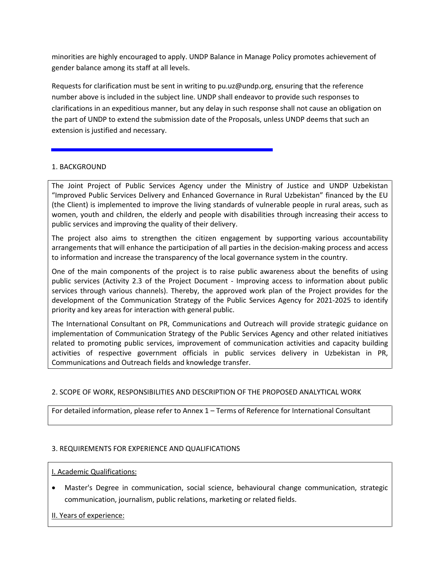minorities are highly encouraged to apply. UNDP Balance in Manage Policy promotes achievement of gender balance among its staff at all levels.

Requests for clarification must be sent in writing to pu.uz@undp.org, ensuring that the reference number above is included in the subject line. UNDP shall endeavor to provide such responses to clarifications in an expeditious manner, but any delay in such response shall not cause an obligation on the part of UNDP to extend the submission date of the Proposals, unless UNDP deems that such an extension is justified and necessary.

### 1. BACKGROUND

The Joint Project of Public Services Agency under the Ministry of Justice and UNDP Uzbekistan "Improved Public Services Delivery and Enhanced Governance in Rural Uzbekistan" financed by the EU (the Client) is implemented to improve the living standards of vulnerable people in rural areas, such as women, youth and children, the elderly and people with disabilities through increasing their access to public services and improving the quality of their delivery.

The project also aims to strengthen the citizen engagement by supporting various accountability arrangements that will enhance the participation of all parties in the decision-making process and access to information and increase the transparency of the local governance system in the country.

One of the main components of the project is to raise public awareness about the benefits of using public services (Activity 2.3 of the Project Document - Improving access to information about public services through various channels). Thereby, the approved work plan of the Project provides for the development of the Communication Strategy of the Public Services Agency for 2021-2025 to identify priority and key areas for interaction with general public.

The International Consultant on PR, Communications and Outreach will provide strategic guidance on implementation of Communication Strategy of the Public Services Agency and other related initiatives related to promoting public services, improvement of communication activities and capacity building activities of respective government officials in public services delivery in Uzbekistan in PR, Communications and Outreach fields and knowledge transfer.

### 2. SCOPE OF WORK, RESPONSIBILITIES AND DESCRIPTION OF THE PROPOSED ANALYTICAL WORK

For detailed information, please refer to Annex 1 – Terms of Reference for International Consultant

### 3. REQUIREMENTS FOR EXPERIENCE AND QUALIFICATIONS

### I. Academic Qualifications:

• Master's Degree in communication, social science, behavioural change communication, strategic communication, journalism, public relations, marketing or related fields.

II. Years of experience: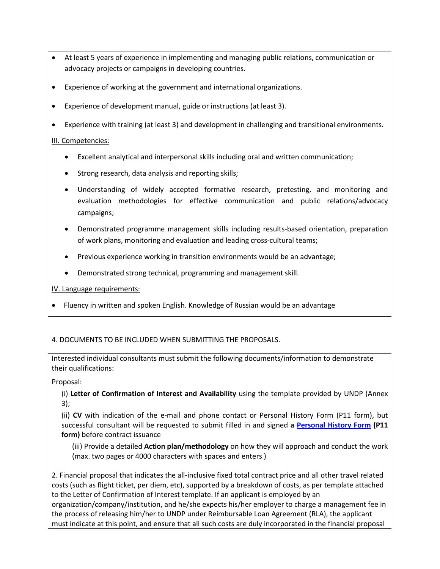- At least 5 years of experience in implementing and managing public relations, communication or advocacy projects or campaigns in developing countries.
- Experience of working at the government and international organizations.
- Experience of development manual, guide or instructions (at least 3).
- Experience with training (at least 3) and development in challenging and transitional environments.

### III. Competencies:

- Excellent analytical and interpersonal skills including oral and written communication;
- Strong research, data analysis and reporting skills;
- Understanding of widely accepted formative research, pretesting, and monitoring and evaluation methodologies for effective communication and public relations/advocacy campaigns;
- Demonstrated programme management skills including results-based orientation, preparation of work plans, monitoring and evaluation and leading cross-cultural teams;
- Previous experience working in transition environments would be an advantage;
- Demonstrated strong technical, programming and management skill.

IV. Language requirements:

• Fluency in written and spoken English. Knowledge of Russian would be an advantage

## 4. DOCUMENTS TO BE INCLUDED WHEN SUBMITTING THE PROPOSALS.

Interested individual consultants must submit the following documents/information to demonstrate their qualifications:

Proposal:

(i) **Letter of Confirmation of Interest and Availability** using the template provided by UNDP (Annex 3);

(ii) **CV** with indication of the e-mail and phone contact or Personal History Form (P11 form), but successful consultant will be requested to submit filled in and signed **a [Personal History Form](https://popp.undp.org/_layouts/15/WopiFrame.aspx?sourcedoc=/UNDP_POPP_DOCUMENT_LIBRARY/Public/HR_Non-Staff_P-11%20for%20non-staff%20assignments.docx&action=default&DefaultItemOpen=1) (P11 form)** before contract issuance

(iii) Provide a detailed **Action plan/methodology** on how they will approach and conduct the work (max. two pages or 4000 characters with spaces and enters )

2. Financial proposal that indicates the all-inclusive fixed total contract price and all other travel related costs (such as flight ticket, per diem, etc), supported by a breakdown of costs, as per template attached to the Letter of Confirmation of Interest template. If an applicant is employed by an organization/company/institution, and he/she expects his/her employer to charge a management fee in the process of releasing him/her to UNDP under Reimbursable Loan Agreement (RLA), the applicant must indicate at this point, and ensure that all such costs are duly incorporated in the financial proposal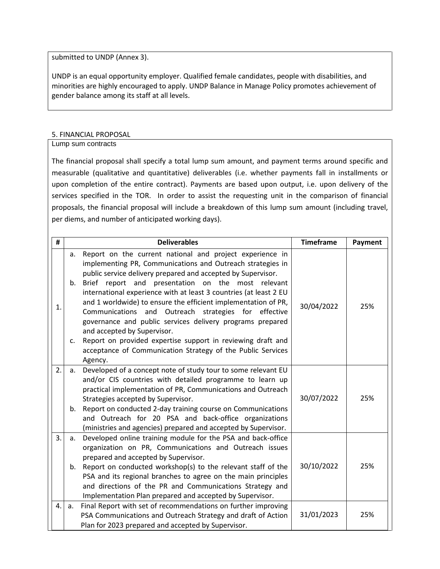submitted to UNDP (Annex 3).

UNDP is an equal opportunity employer. Qualified female candidates, people with disabilities, and minorities are highly encouraged to apply. UNDP Balance in Manage Policy promotes achievement of gender balance among its staff at all levels.

#### 5. FINANCIAL PROPOSAL

Lump sum contracts

The financial proposal shall specify a total lump sum amount, and payment terms around specific and measurable (qualitative and quantitative) deliverables (i.e. whether payments fall in installments or upon completion of the entire contract). Payments are based upon output, i.e. upon delivery of the services specified in the TOR. In order to assist the requesting unit in the comparison of financial proposals, the financial proposal will include a breakdown of this lump sum amount (including travel, per diems, and number of anticipated working days).

| #  |          | <b>Deliverables</b>                                                                                                                                                                                                                                                                                                                                                                                                                                                                                                                                                                                                                                                                 | <b>Timeframe</b> | Payment |
|----|----------|-------------------------------------------------------------------------------------------------------------------------------------------------------------------------------------------------------------------------------------------------------------------------------------------------------------------------------------------------------------------------------------------------------------------------------------------------------------------------------------------------------------------------------------------------------------------------------------------------------------------------------------------------------------------------------------|------------------|---------|
| 1. | a.<br>c. | Report on the current national and project experience in<br>implementing PR, Communications and Outreach strategies in<br>public service delivery prepared and accepted by Supervisor.<br>b. Brief report and presentation on the most relevant<br>international experience with at least 3 countries (at least 2 EU<br>and 1 worldwide) to ensure the efficient implementation of PR,<br>Communications and Outreach strategies for effective<br>governance and public services delivery programs prepared<br>and accepted by Supervisor.<br>Report on provided expertise support in reviewing draft and<br>acceptance of Communication Strategy of the Public Services<br>Agency. | 30/04/2022       | 25%     |
| 2. | a.       | Developed of a concept note of study tour to some relevant EU<br>and/or CIS countries with detailed programme to learn up<br>practical implementation of PR, Communications and Outreach<br>Strategies accepted by Supervisor.<br>b. Report on conducted 2-day training course on Communications<br>and Outreach for 20 PSA and back-office organizations<br>(ministries and agencies) prepared and accepted by Supervisor.                                                                                                                                                                                                                                                         | 30/07/2022       | 25%     |
| 3. | a.<br>b. | Developed online training module for the PSA and back-office<br>organization on PR, Communications and Outreach issues<br>prepared and accepted by Supervisor.<br>Report on conducted workshop(s) to the relevant staff of the<br>PSA and its regional branches to agree on the main principles<br>and directions of the PR and Communications Strategy and<br>Implementation Plan prepared and accepted by Supervisor.                                                                                                                                                                                                                                                             | 30/10/2022       | 25%     |
| 4. | a.       | Final Report with set of recommendations on further improving<br>PSA Communications and Outreach Strategy and draft of Action<br>Plan for 2023 prepared and accepted by Supervisor.                                                                                                                                                                                                                                                                                                                                                                                                                                                                                                 | 31/01/2023       | 25%     |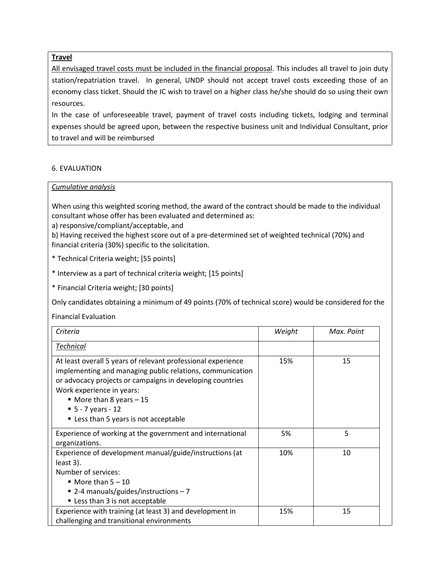### **Travel**

All envisaged travel costs must be included in the financial proposal. This includes all travel to join duty station/repatriation travel. In general, UNDP should not accept travel costs exceeding those of an economy class ticket. Should the IC wish to travel on a higher class he/she should do so using their own resources.

In the case of unforeseeable travel, payment of travel costs including tickets, lodging and terminal expenses should be agreed upon, between the respective business unit and Individual Consultant, prior to travel and will be reimbursed

### 6. EVALUATION

#### *Cumulative analysis*

When using this weighted scoring method, the award of the contract should be made to the individual consultant whose offer has been evaluated and determined as:

a) responsive/compliant/acceptable, and

b) Having received the highest score out of a pre-determined set of weighted technical (70%) and financial criteria (30%) specific to the solicitation.

\* Technical Criteria weight; [55 points]

\* Interview as a part of technical criteria weight; [15 points]

\* Financial Criteria weight; [30 points]

Only candidates obtaining a minimum of 49 points (70% of technical score) would be considered for the

Financial Evaluation

| Criteria                                                                                                                                                                                                                                                                                                                      | Weight | Max. Point |
|-------------------------------------------------------------------------------------------------------------------------------------------------------------------------------------------------------------------------------------------------------------------------------------------------------------------------------|--------|------------|
| <b>Technical</b>                                                                                                                                                                                                                                                                                                              |        |            |
| At least overall 5 years of relevant professional experience<br>implementing and managing public relations, communication<br>or advocacy projects or campaigns in developing countries<br>Work experience in years:<br>$\blacksquare$ More than 8 years $-15$<br>$-5 - 7$ years - 12<br>" Less than 5 years is not acceptable | 15%    | 15         |
| Experience of working at the government and international<br>organizations.                                                                                                                                                                                                                                                   | 5%     | 5          |
| Experience of development manual/guide/instructions (at<br>least 3).<br>Number of services:<br>$\blacksquare$ More than 5 - 10<br>■ 2-4 manuals/guides/instructions – 7<br>Less than 3 is not acceptable                                                                                                                      | 10%    | 10         |
| Experience with training (at least 3) and development in<br>challenging and transitional environments                                                                                                                                                                                                                         | 15%    | 15         |